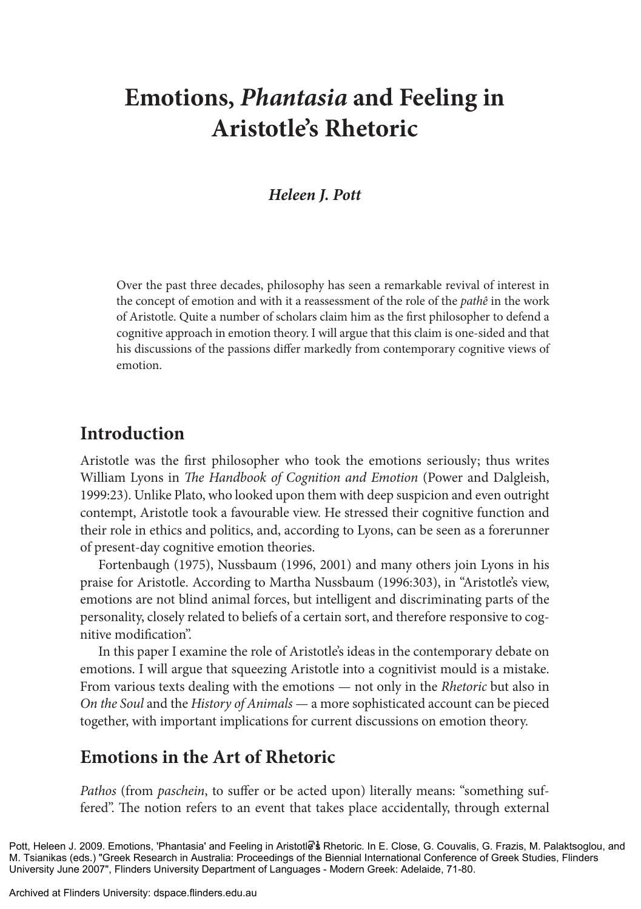# **Emotions,** *Phantasia* **and Feeling in Aristotle's Rhetoric**

### *Heleen J. Pott*

Over the past three decades, philosophy has seen a remarkable revival of interest in the concept of emotion and with it a reassessment of the role of the *pathê* in the work of Aristotle. Quite a number of scholars claim him as the first philosopher to defend a cognitive approach in emotion theory. I will argue that this claim is one-sided and that his discussions of the passions differ markedly from contemporary cognitive views of emotion.

### **Introduction**

Aristotle was the first philosopher who took the emotions seriously; thus writes William Lyons in *The Handbook of Cognition and Emotion* (Power and Dalgleish, 1999:23). Unlike Plato, who looked upon them with deep suspicion and even outright contempt, Aristotle took a favourable view. He stressed their cognitive function and their role in ethics and politics, and, according to Lyons, can be seen as a forerunner of present-day cognitive emotion theories.

Fortenbaugh (1975), Nussbaum (1996, 2001) and many others join Lyons in his praise for Aristotle. According to Martha Nussbaum (1996:303), in "Aristotle's view, emotions are not blind animal forces, but intelligent and discriminating parts of the personality, closely related to beliefs of a certain sort, and therefore responsive to cognitive modification".

In this paper I examine the role of Aristotle's ideas in the contemporary debate on emotions. I will argue that squeezing Aristotle into a cognitivist mould is a mistake. From various texts dealing with the emotions — not only in the *Rhetoric* but also in *On the Soul* and the *History of Animals* — a more sophisticated account can be pieced together, with important implications for current discussions on emotion theory.

# **Emotions in the Art of Rhetoric**

*Pathos* (from *paschein*, to suffer or be acted upon) literally means: "something suffered". The notion refers to an event that takes place accidentally, through external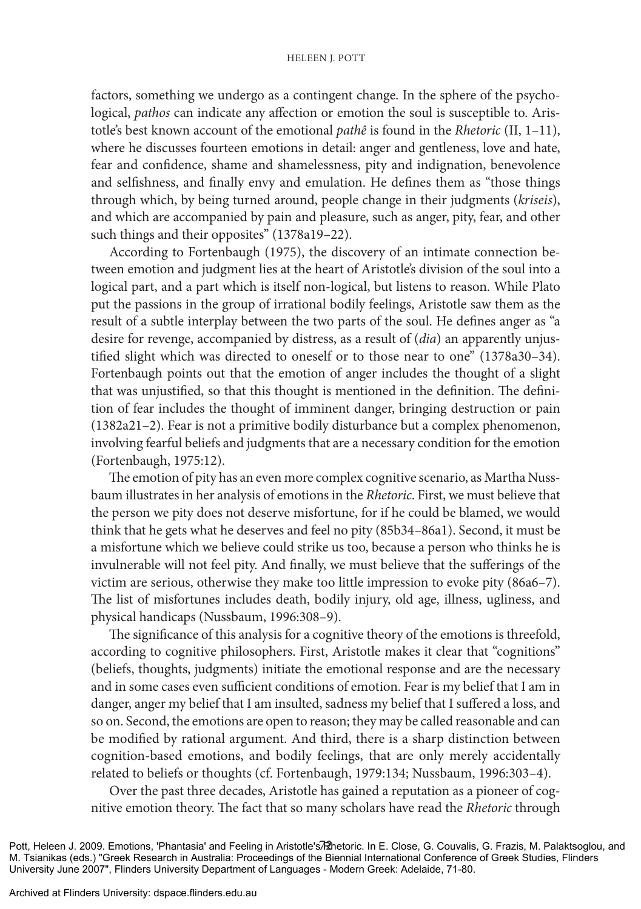#### HELEEN J. POTT

factors, something we undergo as a contingent change. In the sphere of the psychological, *pathos* can indicate any affection or emotion the soul is susceptible to. Aristotle's best known account of the emotional *pathê* is found in the *Rhetoric* (II, 1–11), where he discusses fourteen emotions in detail: anger and gentleness, love and hate, fear and confidence, shame and shamelessness, pity and indignation, benevolence and selfishness, and finally envy and emulation. He defines them as "those things through which, by being turned around, people change in their judgments (*kriseis*), and which are accompanied by pain and pleasure, such as anger, pity, fear, and other such things and their opposites" (1378a19-22).

According to Fortenbaugh (1975), the discovery of an intimate connection between emotion and judgment lies at the heart of Aristotle's division of the soul into a logical part, and a part which is itself non-logical, but listens to reason. While Plato put the passions in the group of irrational bodily feelings, Aristotle saw them as the result of a subtle interplay between the two parts of the soul. He defines anger as "a desire for revenge, accompanied by distress, as a result of (*dia*) an apparently unjustified slight which was directed to oneself or to those near to one" (1378a30–34). Fortenbaugh points out that the emotion of anger includes the thought of a slight that was unjustified, so that this thought is mentioned in the definition. The definition of fear includes the thought of imminent danger, bringing destruction or pain (1382a21–2). Fear is not a primitive bodily disturbance but a complex phenomenon, involving fearful beliefs and judgments that are a necessary condition for the emotion (Fortenbaugh, 1975:12).

The emotion of pity has an even more complex cognitive scenario, as Martha Nussbaum illustrates in her analysis of emotions in the *Rhetoric*. First, we must believe that the person we pity does not deserve misfortune, for if he could be blamed, we would think that he gets what he deserves and feel no pity (85b34–86a1). Second, it must be a misfortune which we believe could strike us too, because a person who thinks he is invulnerable will not feel pity. And finally, we must believe that the sufferings of the victim are serious, otherwise they make too little impression to evoke pity (86a6–7). The list of misfortunes includes death, bodily injury, old age, illness, ugliness, and physical handicaps (Nussbaum, 1996:308–9).

The significance of this analysis for a cognitive theory of the emotions is threefold, according to cognitive philosophers. First, Aristotle makes it clear that "cognitions" (beliefs, thoughts, judgments) initiate the emotional response and are the necessary and in some cases even sufficient conditions of emotion. Fear is my belief that I am in danger, anger my belief that I am insulted, sadness my belief that I suffered a loss, and so on. Second, the emotions are open to reason; they may be called reasonable and can be modified by rational argument. And third, there is a sharp distinction between cognition-based emotions, and bodily feelings, that are only merely accidentally related to beliefs or thoughts (cf. Fortenbaugh, 1979:134; Nussbaum, 1996:303–4).

Over the past three decades, Aristotle has gained a reputation as a pioneer of cognitive emotion theory. The fact that so many scholars have read the *Rhetoric* through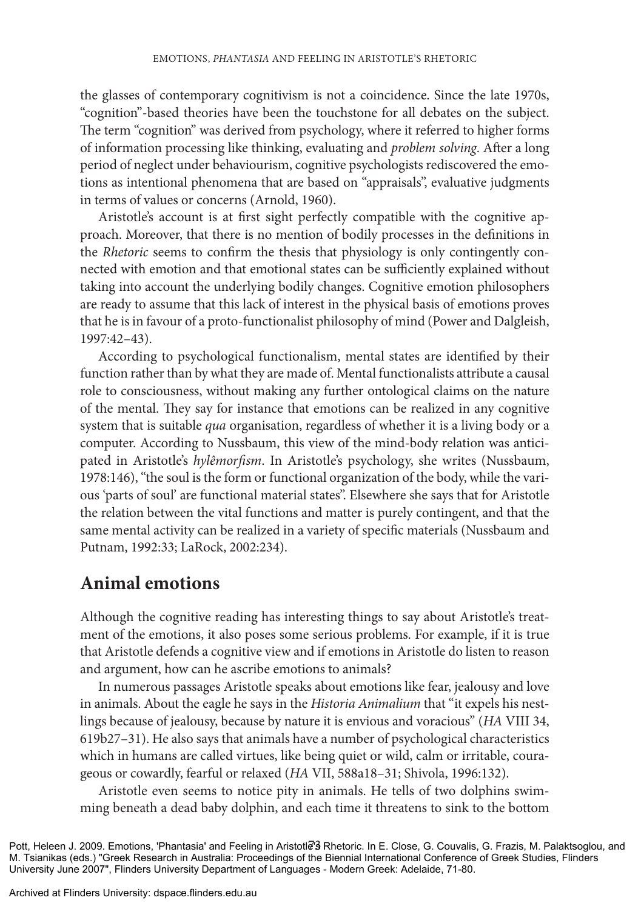the glasses of contemporary cognitivism is not a coincidence. Since the late 1970s, "cognition"-based theories have been the touchstone for all debates on the subject. The term "cognition" was derived from psychology, where it referred to higher forms of information processing like thinking, evaluating and *problem solving*. After a long period of neglect under behaviourism, cognitive psychologists rediscovered the emotions as intentional phenomena that are based on "appraisals", evaluative judgments in terms of values or concerns (Arnold, 1960).

Aristotle's account is at first sight perfectly compatible with the cognitive approach. Moreover, that there is no mention of bodily processes in the definitions in the *Rhetoric* seems to confirm the thesis that physiology is only contingently connected with emotion and that emotional states can be sufficiently explained without taking into account the underlying bodily changes. Cognitive emotion philosophers are ready to assume that this lack of interest in the physical basis of emotions proves that he is in favour of a proto-functionalist philosophy of mind (Power and Dalgleish, 1997:42–43).

According to psychological functionalism, mental states are identified by their function rather than by what they are made of. Mental functionalists attribute a causal role to consciousness, without making any further ontological claims on the nature of the mental. They say for instance that emotions can be realized in any cognitive system that is suitable *qua* organisation, regardless of whether it is a living body or a computer. According to Nussbaum, this view of the mind-body relation was anticipated in Aristotle's *hylêmorfism*. In Aristotle's psychology, she writes (Nussbaum, 1978:146), "the soul is the form or functional organization of the body, while the various 'parts of soul' are functional material states". Elsewhere she says that for Aristotle the relation between the vital functions and matter is purely contingent, and that the same mental activity can be realized in a variety of specific materials (Nussbaum and Putnam, 1992:33; LaRock, 2002:234).

# **Animal emotions**

Although the cognitive reading has interesting things to say about Aristotle's treatment of the emotions, it also poses some serious problems. For example, if it is true that Aristotle defends a cognitive view and if emotions in Aristotle do listen to reason and argument, how can he ascribe emotions to animals?

In numerous passages Aristotle speaks about emotions like fear, jealousy and love in animals. About the eagle he says in the *Historia Animalium* that "it expels his nestlings because of jealousy, because by nature it is envious and voracious" (*HA* VIII 34, 619b27–31). He also says that animals have a number of psychological characteristics which in humans are called virtues, like being quiet or wild, calm or irritable, courageous or cowardly, fearful or relaxed (*HA* VII, 588a18–31; Shivola, 1996:132).

Aristotle even seems to notice pity in animals. He tells of two dolphins swimming beneath a dead baby dolphin, and each time it threatens to sink to the bottom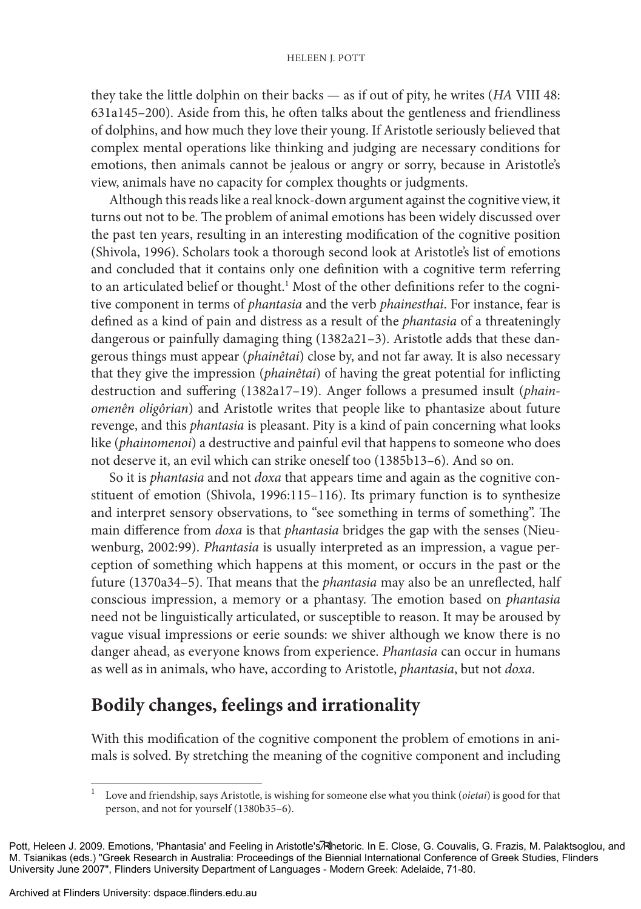#### HELEEN J. POTT

they take the little dolphin on their backs — as if out of pity, he writes (*HA* VIII 48: 631a145–200). Aside from this, he often talks about the gentleness and friendliness of dolphins, and how much they love their young. If Aristotle seriously believed that complex mental operations like thinking and judging are necessary conditions for emotions, then animals cannot be jealous or angry or sorry, because in Aristotle's view, animals have no capacity for complex thoughts or judgments.

Although this reads like a real knock-down argument against the cognitive view, it turns out not to be. The problem of animal emotions has been widely discussed over the past ten years, resulting in an interesting modification of the cognitive position (Shivola, 1996). Scholars took a thorough second look at Aristotle's list of emotions and concluded that it contains only one definition with a cognitive term referring to an articulated belief or thought.<sup>1</sup> Most of the other definitions refer to the cognitive component in terms of *phantasia* and the verb *phainesthai*. For instance, fear is defined as a kind of pain and distress as a result of the *phantasia* of a threateningly dangerous or painfully damaging thing (1382a21–3). Aristotle adds that these dangerous things must appear (*phainêtai*) close by, and not far away. It is also necessary that they give the impression (*phainêtai*) of having the great potential for inflicting destruction and suffering (1382a17–19). Anger follows a presumed insult (*phainomenên oligôrian*) and Aristotle writes that people like to phantasize about future revenge, and this *phantasia* is pleasant. Pity is a kind of pain concerning what looks like (*phainomenoi*) a destructive and painful evil that happens to someone who does not deserve it, an evil which can strike oneself too (1385b13–6). And so on.

So it is *phantasia* and not *doxa* that appears time and again as the cognitive constituent of emotion (Shivola, 1996:115–116). Its primary function is to synthesize and interpret sensory observations, to "see something in terms of something". The main difference from *doxa* is that *phantasia* bridges the gap with the senses (Nieuwenburg, 2002:99). *Phantasia* is usually interpreted as an impression, a vague perception of something which happens at this moment, or occurs in the past or the future (1370a34–5). That means that the *phantasia* may also be an unreflected, half conscious impression, a memory or a phantasy. The emotion based on *phantasia* need not be linguistically articulated, or susceptible to reason. It may be aroused by vague visual impressions or eerie sounds: we shiver although we know there is no danger ahead, as everyone knows from experience. *Phantasia* can occur in humans as well as in animals, who have, according to Aristotle, *phantasia*, but not *doxa*.

# **Bodily changes, feelings and irrationality**

With this modification of the cognitive component the problem of emotions in animals is solved. By stretching the meaning of the cognitive component and including

<sup>1</sup> Love and friendship, says Aristotle, is wishing for someone else what you think (*oietai*) is good for that person, and not for yourself (1380b35–6).

Pott, Heleen J. 2009. Emotions, 'Phantasia' and Feeling in Aristotle's **Athetoric. In E. Close, G. Couvalis, G. Frazis**, M. Palaktsoglou, and M. Tsianikas (eds.) "Greek Research in Australia: Proceedings of the Biennial International Conference of Greek Studies, Flinders University June 2007", Flinders University Department of Languages - Modern Greek: Adelaide, 71-80.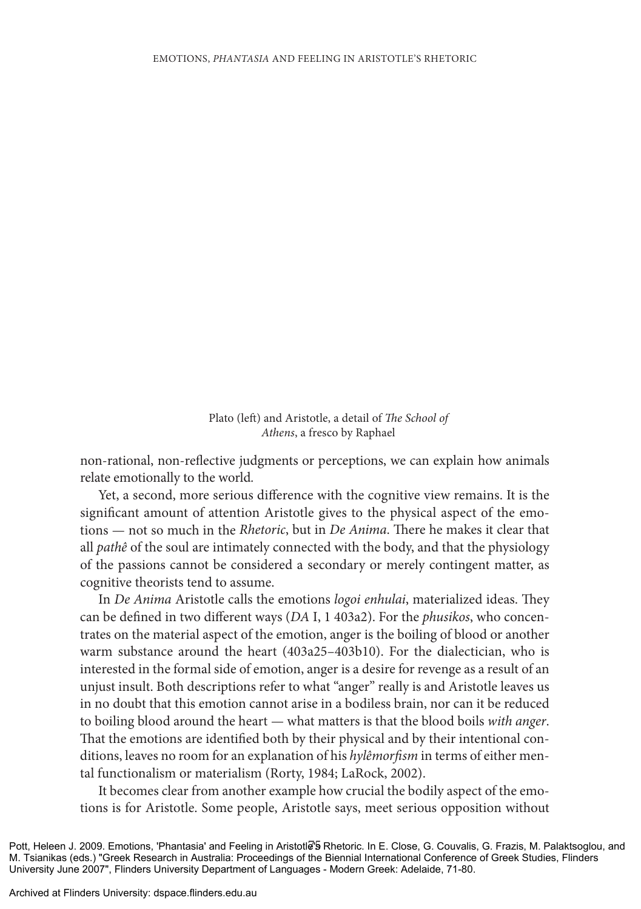Plato (left) and Aristotle, a detail of *The School of Athens*, a fresco by Raphael

non-rational, non-reflective judgments or perceptions, we can explain how animals relate emotionally to the world*.*

Yet, a second, more serious difference with the cognitive view remains. It is the significant amount of attention Aristotle gives to the physical aspect of the emotions — not so much in the *Rhetoric*, but in *De Anima*. There he makes it clear that all *pathê* of the soul are intimately connected with the body, and that the physiology of the passions cannot be considered a secondary or merely contingent matter, as cognitive theorists tend to assume.

In *De Anima* Aristotle calls the emotions *logoi enhulai*, materialized ideas. They can be defined in two different ways (*DA* I, 1 403a2). For the *phusikos*, who concentrates on the material aspect of the emotion, anger is the boiling of blood or another warm substance around the heart (403a25–403b10). For the dialectician, who is interested in the formal side of emotion, anger is a desire for revenge as a result of an unjust insult. Both descriptions refer to what "anger" really is and Aristotle leaves us in no doubt that this emotion cannot arise in a bodiless brain, nor can it be reduced to boiling blood around the heart — what matters is that the blood boils *with anger*. That the emotions are identified both by their physical and by their intentional conditions, leaves no room for an explanation of his *hylêmorfism* in terms of either mental functionalism or materialism (Rorty, 1984; LaRock, 2002).

It becomes clear from another example how crucial the bodily aspect of the emotions is for Aristotle. Some people, Aristotle says, meet serious opposition without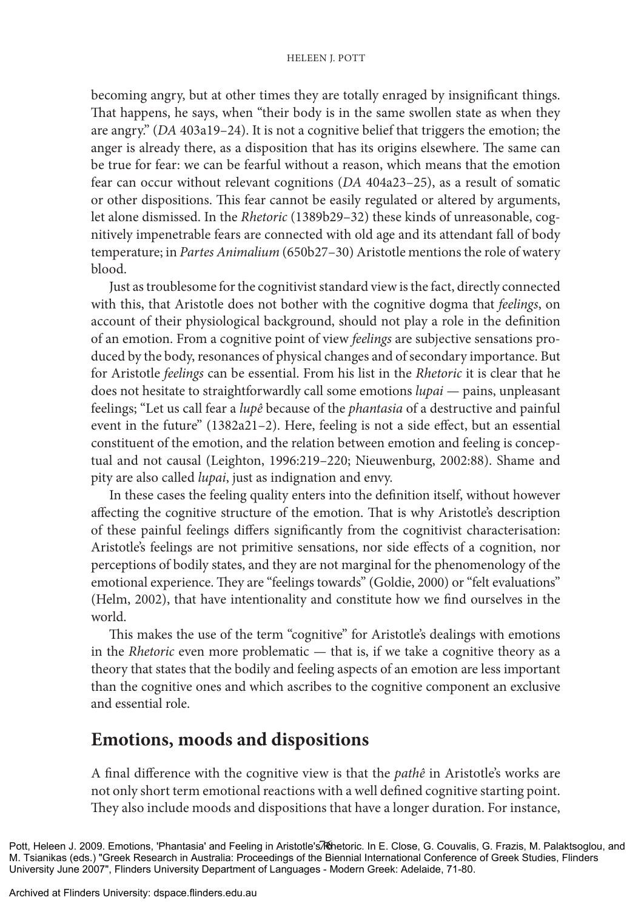#### HELEEN J. POTT

becoming angry, but at other times they are totally enraged by insignificant things. That happens, he says, when "their body is in the same swollen state as when they are angry." (*DA* 403a19–24). It is not a cognitive belief that triggers the emotion; the anger is already there, as a disposition that has its origins elsewhere. The same can be true for fear: we can be fearful without a reason, which means that the emotion fear can occur without relevant cognitions (*DA* 404a23–25), as a result of somatic or other dispositions. This fear cannot be easily regulated or altered by arguments, let alone dismissed. In the *Rhetoric* (1389b29–32) these kinds of unreasonable, cognitively impenetrable fears are connected with old age and its attendant fall of body temperature; in *Partes Animalium* (650b27–30) Aristotle mentions the role of watery blood.

Just as troublesome for the cognitivist standard view is the fact, directly connected with this, that Aristotle does not bother with the cognitive dogma that *feelings*, on account of their physiological background, should not play a role in the definition of an emotion. From a cognitive point of view *feelings* are subjective sensations produced by the body, resonances of physical changes and of secondary importance. But for Aristotle *feelings* can be essential. From his list in the *Rhetoric* it is clear that he does not hesitate to straightforwardly call some emotions *lupai* — pains, unpleasant feelings; "Let us call fear a *lupê* because of the *phantasia* of a destructive and painful event in the future" (1382a21–2). Here, feeling is not a side effect, but an essential constituent of the emotion, and the relation between emotion and feeling is conceptual and not causal (Leighton, 1996:219–220; Nieuwenburg, 2002:88). Shame and pity are also called *lupai*, just as indignation and envy.

In these cases the feeling quality enters into the definition itself, without however affecting the cognitive structure of the emotion. That is why Aristotle's description of these painful feelings differs significantly from the cognitivist characterisation: Aristotle's feelings are not primitive sensations, nor side effects of a cognition, nor perceptions of bodily states, and they are not marginal for the phenomenology of the emotional experience. They are "feelings towards" (Goldie, 2000) or "felt evaluations" (Helm, 2002), that have intentionality and constitute how we find ourselves in the world.

This makes the use of the term "cognitive" for Aristotle's dealings with emotions in the *Rhetoric* even more problematic — that is, if we take a cognitive theory as a theory that states that the bodily and feeling aspects of an emotion are less important than the cognitive ones and which ascribes to the cognitive component an exclusive and essential role.

### **Emotions, moods and dispositions**

A final difference with the cognitive view is that the *pathê* in Aristotle's works are not only short term emotional reactions with a well defined cognitive starting point. They also include moods and dispositions that have a longer duration. For instance,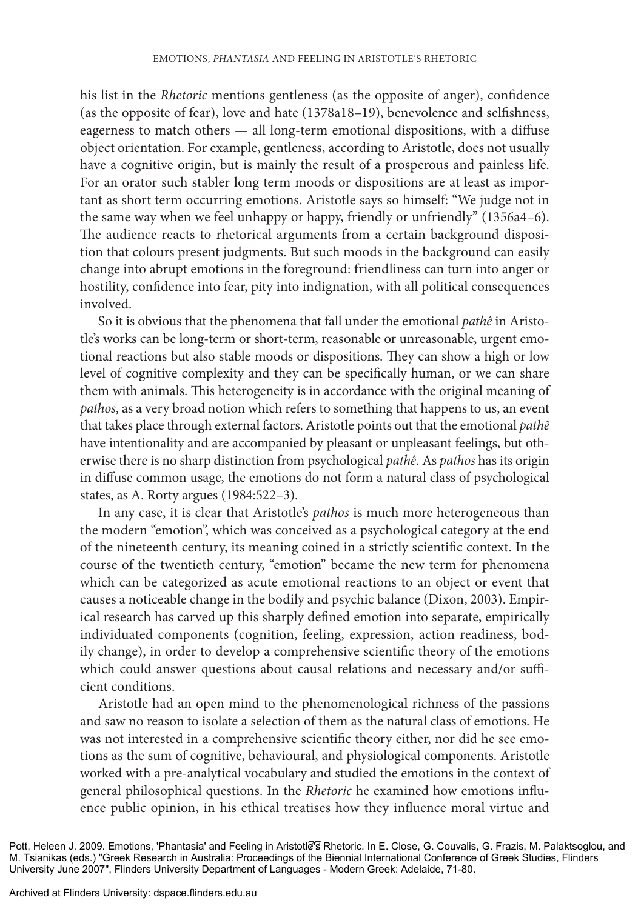his list in the *Rhetoric* mentions gentleness (as the opposite of anger), confidence (as the opposite of fear), love and hate (1378a18–19), benevolence and selfishness, eagerness to match others — all long-term emotional dispositions, with a diffuse object orientation. For example, gentleness, according to Aristotle, does not usually have a cognitive origin, but is mainly the result of a prosperous and painless life. For an orator such stabler long term moods or dispositions are at least as important as short term occurring emotions. Aristotle says so himself: "We judge not in the same way when we feel unhappy or happy, friendly or unfriendly" (1356a4-6). The audience reacts to rhetorical arguments from a certain background disposition that colours present judgments. But such moods in the background can easily change into abrupt emotions in the foreground: friendliness can turn into anger or hostility, confidence into fear, pity into indignation, with all political consequences involved.

So it is obvious that the phenomena that fall under the emotional *pathê* in Aristotle's works can be long-term or short-term, reasonable or unreasonable, urgent emotional reactions but also stable moods or dispositions. They can show a high or low level of cognitive complexity and they can be specifically human, or we can share them with animals. This heterogeneity is in accordance with the original meaning of *pathos*, as a very broad notion which refers to something that happens to us, an event that takes place through external factors. Aristotle points out that the emotional *pathê* have intentionality and are accompanied by pleasant or unpleasant feelings, but otherwise there is no sharp distinction from psychological *pathê*. As *pathos* has its origin in diffuse common usage, the emotions do not form a natural class of psychological states, as A. Rorty argues (1984:522–3).

In any case, it is clear that Aristotle's *pathos* is much more heterogeneous than the modern "emotion", which was conceived as a psychological category at the end of the nineteenth century, its meaning coined in a strictly scientific context. In the course of the twentieth century, "emotion" became the new term for phenomena which can be categorized as acute emotional reactions to an object or event that causes a noticeable change in the bodily and psychic balance (Dixon, 2003). Empir ical research has carved up this sharply defined emotion into separate, empirically individuated components (cognition, feeling, expression, action readiness, bod ily change), in order to develop a comprehensive scientific theory of the emotions which could answer questions about causal relations and necessary and/or sufficient conditions.

Aristotle had an open mind to the phenomenological richness of the passions and saw no reason to isolate a selection of them as the natural class of emotions. He was not interested in a comprehensive scientific theory either, nor did he see emotions as the sum of cognitive, behavioural, and physiological components. Aristotle worked with a pre-analytical vocabulary and studied the emotions in the context of general philosophical questions. In the *Rhetoric* he examined how emotions influence public opinion, in his ethical treatises how they influence moral virtue and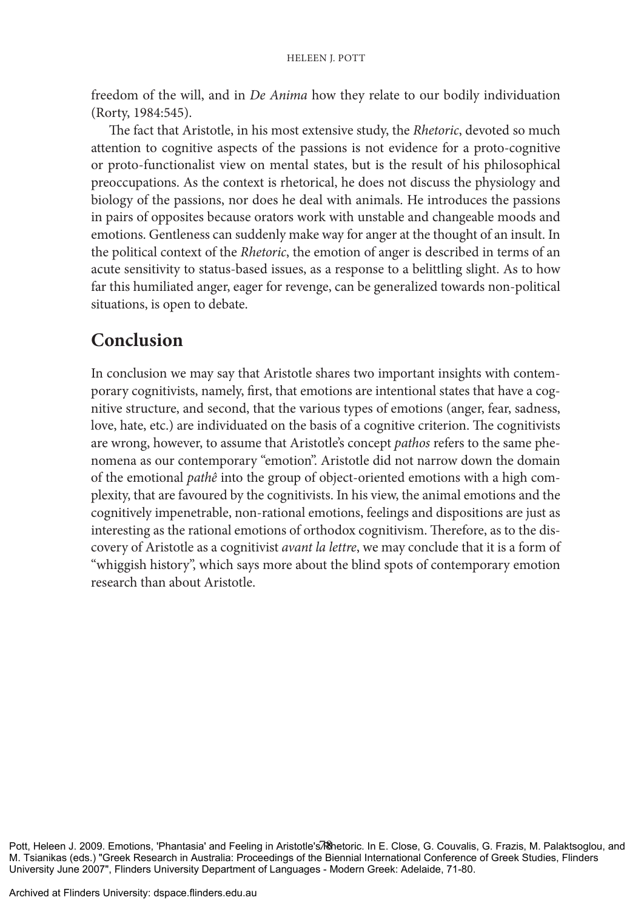freedom of the will, and in *De Anima* how they relate to our bodily individuation (Rorty, 1984:545).

The fact that Aristotle, in his most extensive study, the *Rhetoric*, devoted so much attention to cognitive aspects of the passions is not evidence for a proto-cognitive or proto-functionalist view on mental states, but is the result of his philosophical preoccupations. As the context is rhetorical, he does not discuss the physiology and biology of the passions, nor does he deal with animals. He introduces the passions in pairs of opposites because orators work with unstable and changeable moods and emotions. Gentleness can suddenly make way for anger at the thought of an insult. In the political context of the *Rhetoric*, the emotion of anger is described in terms of an acute sensitivity to status-based issues, as a response to a belittling slight. As to how far this humiliated anger, eager for revenge, can be generalized towards non-political situations, is open to debate.

# **Conclusion**

In conclusion we may say that Aristotle shares two important insights with contemporary cognitivists, namely, first, that emotions are intentional states that have a cognitive structure, and second, that the various types of emotions (anger, fear, sadness, love, hate, etc.) are individuated on the basis of a cognitive criterion. The cognitivists are wrong, however, to assume that Aristotle's concept *pathos* refers to the same phenomena as our contemporary "emotion". Aristotle did not narrow down the domain of the emotional *pathê* into the group of object-oriented emotions with a high complexity, that are favoured by the cognitivists. In his view, the animal emotions and the cognitively impenetrable, non-rational emotions, feelings and dispositions are just as interesting as the rational emotions of orthodox cognitivism. Therefore, as to the discovery of Aristotle as a cognitivist *avant la lettre*, we may conclude that it is a form of "whiggish history", which says more about the blind spots of contemporary emotion research than about Aristotle.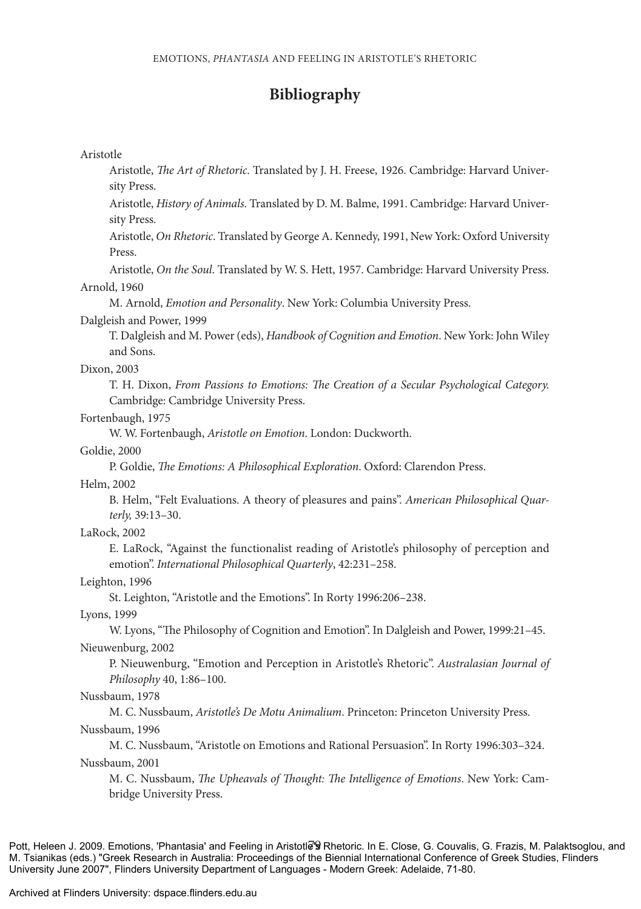### **Bibliography**

#### Aristotle

Aristotle, *The Art of Rhetoric*. Translated by J. H. Freese, 1926. Cambridge: Harvard University Press.

Aristotle, *History of Animals*. Translated by D. M. Balme, 1991. Cambridge: Harvard University Press.

Aristotle, *On Rhetoric*. Translated by George A. Kennedy, 1991, New York: Oxford University Press.

Aristotle, *On the Soul*. Translated by W. S. Hett, 1957. Cambridge: Harvard University Press. Arnold, 1960

M. Arnold, *Emotion and Personality*. New York: Columbia University Press.

### Dalgleish and Power, 1999

T. Dalgleish and M. Power (eds), *Handbook of Cognition and Emotion*. New York: John Wiley and Sons.

#### Dixon, 2003

T. H. Dixon, *From Passions to Emotions: The Creation of a Secular Psychological Category.*  Cambridge: Cambridge University Press.

#### Fortenbaugh, 1975

W. W. Fortenbaugh, *Aristotle on Emotion*. London: Duckworth.

### Goldie, 2000

P. Goldie, *The Emotions: A Philosophical Exploration*. Oxford: Clarendon Press.

Helm, 2002

B. Helm, "Felt Evaluations. A theory of pleasures and pains". *American Philosophical Quarterly,* 39:13–30.

LaRock, 2002

E. LaRock, "Against the functionalist reading of Aristotle's philosophy of perception and emotion". *International Philosophical Quarterly*, 42:231–258.

#### Leighton, 1996

St. Leighton, "Aristotle and the Emotions". In Rorty 1996:206–238.

Lyons, 1999

W. Lyons, "The Philosophy of Cognition and Emotion". In Dalgleish and Power, 1999:21–45.

#### Nieuwenburg, 2002

P. Nieuwenburg, "Emotion and Perception in Aristotle's Rhetoric". *Australasian Journal of Philosophy* 40, 1:86–100.

Nussbaum, 1978

M. C. Nussbaum, *Aristotle's De Motu Animalium*. Princeton: Princeton University Press.

#### Nussbaum, 1996

M. C. Nussbaum, "Aristotle on Emotions and Rational Persuasion". In Rorty 1996:303–324. Nussbaum, 2001

M. C. Nussbaum, *The Upheavals of Thought: The Intelligence of Emotions*. New York: Cambridge University Press.